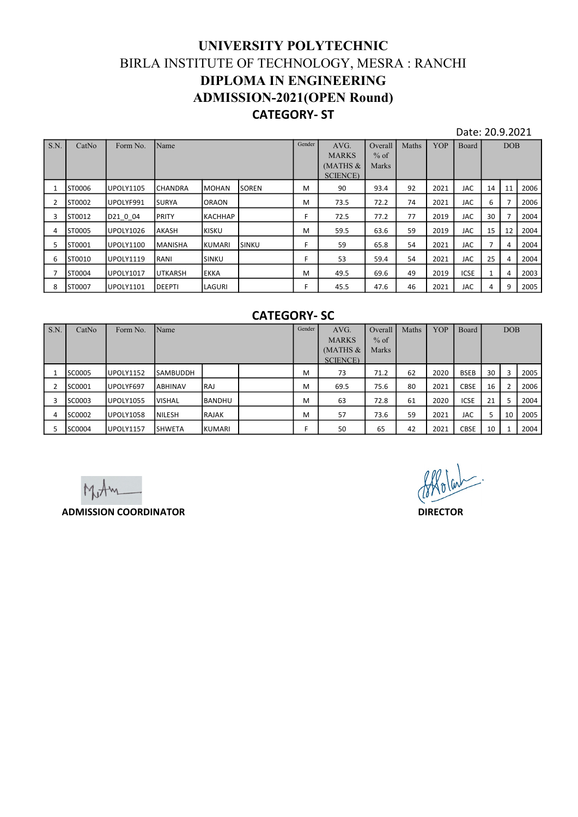## UNIVERSITY POLYTECHNIC BIRLA INSTITUTE OF TECHNOLOGY, MESRA : RANCHI DIPLOMA IN ENGINEERING ADMISSION-2021(OPEN Round) CATEGORY- ST

|                |                  |                                      |                  |                        | UNIVERSITY POLYTECHNIC<br>BIRLA INSTITUTE OF TECHNOLOGY, MESRA : RANCHI |         |                                                               |                                            |          |              |                          |                      |                         |              |
|----------------|------------------|--------------------------------------|------------------|------------------------|-------------------------------------------------------------------------|---------|---------------------------------------------------------------|--------------------------------------------|----------|--------------|--------------------------|----------------------|-------------------------|--------------|
|                |                  |                                      |                  |                        | <b>DIPLOMA IN ENGINEERING</b>                                           |         |                                                               |                                            |          |              |                          |                      |                         |              |
|                |                  |                                      |                  |                        | <b>ADMISSION-2021(OPEN Round)</b>                                       |         |                                                               |                                            |          |              |                          |                      |                         |              |
|                |                  |                                      |                  |                        | <b>CATEGORY-ST</b>                                                      |         |                                                               |                                            |          |              |                          |                      |                         |              |
| S.N.           | CatNo            | Form No.                             | Name             |                        |                                                                         | Gender  | AVG.                                                          | Overall                                    | Maths    | YOP          | Date: 20.9.2021<br>Board |                      | <b>DOB</b>              |              |
|                |                  |                                      |                  |                        |                                                                         |         | <b>MARKS</b><br>(MATHS $&$<br><b>SCIENCE</b> )                | $%$ of<br>Marks                            |          |              |                          |                      |                         |              |
| $\mathbf{1}$   | ST0006           | <b>UPOLY1105</b>                     | <b>CHANDRA</b>   | <b>MOHAN</b>           | <b>SOREN</b>                                                            | M       | 90                                                            | 93.4                                       | 92       | 2021         | JAC                      | 14                   | 11                      | 2006         |
| $\overline{2}$ | ST0002           | UPOLYF991                            | <b>SURYA</b>     | <b>ORAON</b>           |                                                                         | M       | 73.5                                                          | 72.2                                       | 74       | 2021         | <b>JAC</b>               | 6                    | $\overline{7}$          | 2006         |
| 3              | ST0012           | D21_0_04                             | PRITY            | <b>КАСННАР</b>         |                                                                         | F.      | 72.5                                                          | 77.2                                       | 77       | 2019         | JAC                      | 30 <sup>°</sup>      | $\overline{7}$          | 2004         |
| 4<br>5         | ST0005<br>ST0001 | <b>UPOLY1026</b><br><b>UPOLY1100</b> | AKASH<br>MANISHA | <b>KISKU</b><br>KUMARI | SINKU                                                                   | M<br>F. | 59.5<br>59                                                    | 63.6<br>65.8                               | 59<br>54 | 2019<br>2021 | <b>JAC</b><br>JAC        | 15<br>7 <sup>7</sup> | 12<br>$\overline{4}$    | 2004<br>2004 |
| 6              | ST0010           | <b>UPOLY1119</b>                     | RANI             | SINKU                  |                                                                         | F       | 53                                                            | 59.4                                       | 54       | 2021         | JAC                      | 25                   | $\overline{4}$          | 2004         |
| $\overline{7}$ | ST0004           | UPOLY1017                            | UTKARSH          | <b>EKKA</b>            |                                                                         | M       | 49.5                                                          | 69.6                                       | 49       | 2019         | <b>ICSE</b>              | $\mathbf{1}$         | 4                       | 2003         |
| 8              | ST0007           | <b>UPOLY1101</b>                     | DEEPTI           | LAGURI                 |                                                                         | F.      | 45.5                                                          | 47.6                                       | 46       | 2021         | JAC                      | $\overline{4}$       | 9                       | 2005         |
|                |                  |                                      |                  |                        | <b>CATEGORY-SC</b>                                                      |         |                                                               |                                            |          |              |                          |                      |                         |              |
|                | S.N. CatNo       | Form No. Name                        |                  |                        |                                                                         | Gender  | $\operatorname{AVG}.$<br><b>MARKS</b><br>(MATHS &<br>SCIENCE) | Overall Maths YOP Board<br>$%$ of<br>Marks |          |              |                          |                      | $\rm{DOB}$              |              |
|                | 1 SC0005         | <b>UPOLY1152</b>                     | SAMBUDDH         |                        |                                                                         | M       | 73                                                            | 71.2                                       | 62       | 2020         | <b>BSEB</b>              | 30                   | $\overline{\mathbf{3}}$ | 2005         |
|                | 2 SC0001         | UPOLYF697                            | ABHINAV          | RAJ                    |                                                                         | M       | 69.5                                                          | 75.6                                       | 80       | 2021         | CBSE                     | 16                   | $\overline{2}$          | 2006         |
|                | 3 SC0003         | <b>UPOLY1055</b>                     | <b>VISHAL</b>    | <b>BANDHU</b>          |                                                                         | M       | 63                                                            | 72.8                                       | 61       | 2020         | ICSE                     | 21                   | 5                       | 2004         |
|                | 4 SC0002         | <b>UPOLY1058</b>                     | NILESH           | RAJAK                  |                                                                         | M       | 57                                                            | 73.6                                       | 59       | 2021         | JAC                      | 5 <sup>1</sup>       | 10 <sup>1</sup>         | 2005         |
|                | 5 SC0004         | <b>UPOLY1157</b>                     | <b>SHWETA</b>    | KUMARI                 |                                                                         | F       | 50                                                            | 65                                         | 42       | 2021         | CBSE                     | 10                   | 1                       | 2004         |
|                |                  |                                      |                  |                        |                                                                         |         |                                                               |                                            |          |              |                          |                      |                         |              |
|                |                  | $\lambda \in \Lambda$ .              |                  |                        |                                                                         |         |                                                               |                                            |          | follown.     |                          |                      |                         |              |

## CATEGORY- SC

| ST0006<br>$\mathbf{1}$    | <b>UPOLY1105</b>             | <b>CHANDRA</b> | <b>MOHAN</b>  | SOREN              | M      | 90                                           | 93.4                       | 92    | 2021            | JAC         |                 |                | 14 11 2006 |
|---------------------------|------------------------------|----------------|---------------|--------------------|--------|----------------------------------------------|----------------------------|-------|-----------------|-------------|-----------------|----------------|------------|
| $\overline{2}$<br>ST0002  | UPOLYF991                    | SURYA          | ORAON         |                    | М      | 73.5                                         | 72.2                       | 74    | 2021            | <b>JAC</b>  | 6               | $\overline{7}$ | 2006       |
| 3 ST0012                  | D21_0_04                     | PRITY          | KACHHAP       |                    | F.     | 72.5                                         | 77.2                       | 77    | 2019            | JAC         | 30              | $\overline{7}$ | 2004       |
| ST0005<br>4               | UPOLY1026                    | AKASH          | <b>KISKU</b>  |                    | M      | 59.5                                         | 63.6                       | 59    | 2019            | JAC         | 15 <sup>1</sup> | 12             | 2004       |
| 5 <sub>1</sub><br>ST0001  | UPOLY1100                    | MANISHA        | <b>KUMARI</b> | SINKU              | F.     | 59                                           | 65.8                       | 54    | 2021            | JAC         | $7\overline{ }$ | 4              | 2004       |
| 6<br>ST0010               | UPOLY1119                    | RANI           | SINKU         |                    | F.     | 53                                           | 59.4                       | 54    | 2021            | JAC         | 25              | $\overline{4}$ | 2004       |
| ST0004<br>$7\overline{ }$ | UPOLY1017                    | <b>UTKARSH</b> | <b>EKKA</b>   |                    | M      | 49.5                                         | 69.6                       | 49    | 2019            | <b>ICSE</b> | 1               | $\overline{4}$ | 2003       |
| 8<br>ST0007               | UPOLY1101                    | DEEPTI         | LAGURI        |                    | F.     | 45.5                                         | 47.6                       | 46    | 2021            | JAC         | $\overline{4}$  | 9              | 2005       |
|                           |                              |                |               | <b>CATEGORY-SC</b> |        |                                              |                            |       |                 |             |                 |                |            |
| S.N.<br>CatNo             | Form No.                     | Name           |               |                    | Gender | AVG.<br><b>MARKS</b><br>(MATHS &<br>SCIENCE) | Overall<br>$%$ of<br>Marks | Maths | YOP             | Board       |                 | $\rm{DOB}$     |            |
| SC0005<br>1               | <b>UPOLY1152</b>             | SAMBUDDH       |               |                    | M      | 73                                           | 71.2                       | 62    | 2020            | <b>BSEB</b> | 30              | $\overline{3}$ | 2005       |
| 2 SC0001                  | UPOLYF697                    | ABHINAV        | RAJ           |                    | M      | 69.5                                         | 75.6                       | 80    | 2021            | CBSE        | 16              | $\overline{2}$ | 2006       |
| SC0003<br>$\mathbf{3}$    | UPOLY1055                    | <b>VISHAL</b>  | BANDHU        |                    | M      | 63                                           | 72.8                       | 61    | 2020            | ICSE        | 21              | 5              | 2004       |
| SC0002<br>4               | UPOLY1058                    | NILESH         | <b>RAJAK</b>  |                    | M      | 57                                           | 73.6                       | 59    | 2021            | JAC         | $5 -$           | 10             | 2005       |
| 5 <sup>5</sup><br>SC0004  | UPOLY1157                    | <b>SHWETA</b>  | KUMARI        |                    | F.     | 50                                           | 65                         | 42    | 2021            | CBSE        | 10              | $\mathbf{1}$   | 2004       |
|                           | <b>ADMISSION COORDINATOR</b> |                |               |                    |        |                                              |                            |       | <b>DIRECTOR</b> | Allolan.    |                 |                |            |